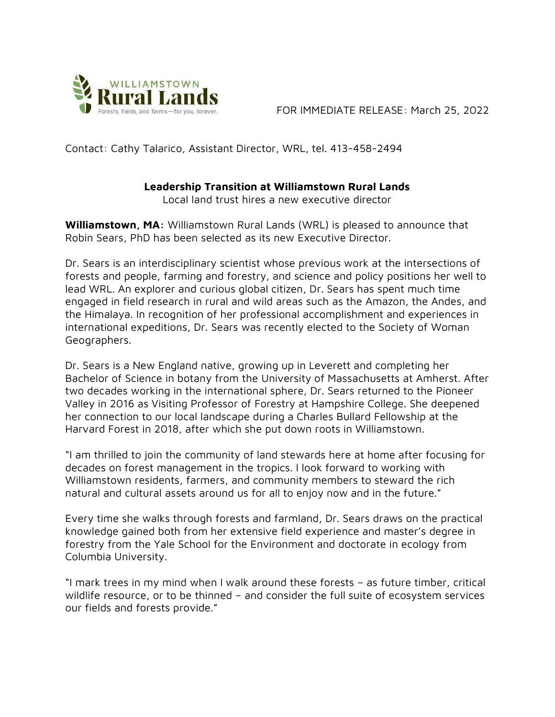

FOR IMMEDIATE RELEASE: March 25, 2022

Contact: Cathy Talarico, Assistant Director, WRL, tel. 413-458-2494

## Leadership Transition at Williamstown Rural Lands

Local land trust hires a new executive director

Williamstown, MA: Williamstown Rural Lands (WRL) is pleased to announce that Robin Sears, PhD has been selected as its new Executive Director.

Dr. Sears is an interdisciplinary scientist whose previous work at the intersections of forests and people, farming and forestry, and science and policy positions her well to lead WRL. An explorer and curious global citizen, Dr. Sears has spent much time engaged in field research in rural and wild areas such as the Amazon, the Andes, and the Himalaya. In recognition of her professional accomplishment and experiences in international expeditions, Dr. Sears was recently elected to the Society of Woman Geographers.

Dr. Sears is a New England native, growing up in Leverett and completing her Bachelor of Science in botany from the University of Massachusetts at Amherst. After two decades working in the international sphere, Dr. Sears returned to the Pioneer Valley in 2016 as Visiting Professor of Forestry at Hampshire College. She deepened her connection to our local landscape during a Charles Bullard Fellowship at the Harvard Forest in 2018, after which she put down roots in Williamstown.

"I am thrilled to join the community of land stewards here at home after focusing for decades on forest management in the tropics. I look forward to working with Williamstown residents, farmers, and community members to steward the rich natural and cultural assets around us for all to enjoy now and in the future."

Every time she walks through forests and farmland, Dr. Sears draws on the practical knowledge gained both from her extensive field experience and master's degree in forestry from the Yale School for the Environment and doctorate in ecology from Columbia University.

"I mark trees in my mind when I walk around these forests – as future timber, critical wildlife resource, or to be thinned – and consider the full suite of ecosystem services our fields and forests provide."